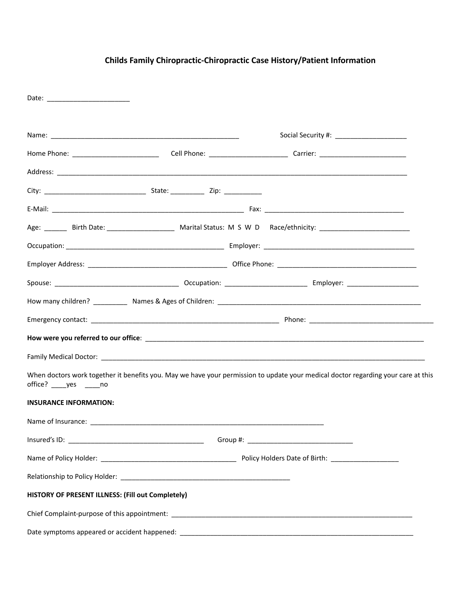| Date: _________________________                   |                                                                                                                                   |
|---------------------------------------------------|-----------------------------------------------------------------------------------------------------------------------------------|
|                                                   |                                                                                                                                   |
|                                                   |                                                                                                                                   |
|                                                   |                                                                                                                                   |
|                                                   |                                                                                                                                   |
|                                                   |                                                                                                                                   |
|                                                   |                                                                                                                                   |
|                                                   |                                                                                                                                   |
|                                                   |                                                                                                                                   |
|                                                   |                                                                                                                                   |
|                                                   |                                                                                                                                   |
|                                                   |                                                                                                                                   |
|                                                   |                                                                                                                                   |
|                                                   |                                                                                                                                   |
| office? _____ yes ______ no                       | When doctors work together it benefits you. May we have your permission to update your medical doctor regarding your care at this |
| <b>INSURANCE INFORMATION:</b>                     |                                                                                                                                   |
|                                                   |                                                                                                                                   |
|                                                   |                                                                                                                                   |
|                                                   |                                                                                                                                   |
|                                                   |                                                                                                                                   |
| HISTORY OF PRESENT ILLNESS: (Fill out Completely) |                                                                                                                                   |
|                                                   |                                                                                                                                   |
|                                                   |                                                                                                                                   |

# **Childs Family Chiropractic-Chiropractic Case History/Patient Information**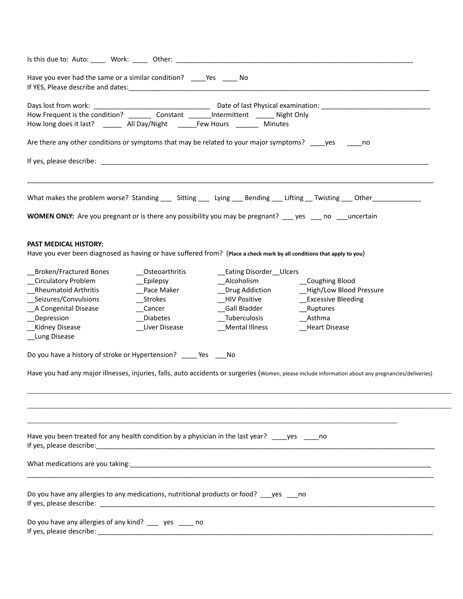| Is this due to: Auto: _____ Work: _____ Other: ____                                                                                                                                                                            |                               |                                           |                                                                                                                                                     |
|--------------------------------------------------------------------------------------------------------------------------------------------------------------------------------------------------------------------------------|-------------------------------|-------------------------------------------|-----------------------------------------------------------------------------------------------------------------------------------------------------|
| Have you ever had the same or a similar condition? _______ Yes _______ No<br>If YES, Please describe and dates: 1999 Manual Manual Manual Manual Manual Manual Manual Manual Manual Manual                                     |                               |                                           |                                                                                                                                                     |
|                                                                                                                                                                                                                                |                               |                                           |                                                                                                                                                     |
|                                                                                                                                                                                                                                |                               |                                           |                                                                                                                                                     |
| How long does it last? ________ All Day/Night _______Few Hours _________ Minutes                                                                                                                                               |                               |                                           |                                                                                                                                                     |
| Are there any other conditions or symptoms that may be related to your major symptoms? _____ yes _______ no                                                                                                                    |                               |                                           |                                                                                                                                                     |
| If yes, please describe: and the state of the state of the state of the state of the state of the state of the state of the state of the state of the state of the state of the state of the state of the state of the state o |                               |                                           |                                                                                                                                                     |
|                                                                                                                                                                                                                                |                               |                                           | What makes the problem worse? Standing _____ Sitting _____ Lying ____ Bending ____ Lifting ___Twisting ____ Other ___________                       |
| <b>WOMEN ONLY:</b> Are you pregnant or is there any possibility you may be pregnant? ___ yes ___ no ___uncertain                                                                                                               |                               |                                           |                                                                                                                                                     |
| <b>PAST MEDICAL HISTORY:</b><br>Have you ever been diagnosed as having or have suffered from? (Place a check mark by all conditions that apply to you)                                                                         |                               |                                           |                                                                                                                                                     |
| Broken/Fractured Bones                                                                                                                                                                                                         | Osteoarthritis                | Eating Disorder Ulcers                    |                                                                                                                                                     |
| _Circulatory Problem                                                                                                                                                                                                           | $\rule{1em}{0.15mm}$ Epilepsy | __Alcoholism ______________Coughing Blood |                                                                                                                                                     |
| <b>Rheumatoid Arthritis</b>                                                                                                                                                                                                    | Pace Maker                    | _Drug Addiction                           | _High/Low Blood Pressure                                                                                                                            |
| __Seizures/Convulsions                                                                                                                                                                                                         | __Strokes                     | __HIV Positive                            | _Excessive Bleeding                                                                                                                                 |
| _A Congenital Disease                                                                                                                                                                                                          | Cancer                        | _Gall Bladder                             | __Ruptures                                                                                                                                          |
| _Depression                                                                                                                                                                                                                    | _Diabetes                     | __Tuberculosis                            | Asthma                                                                                                                                              |
| Kidney Disease<br>_Lung Disease                                                                                                                                                                                                | _Liver Disease                | __Mental Illness                          | _Heart Disease                                                                                                                                      |
| Do you have a history of stroke or Hypertension? ____ Yes ___No                                                                                                                                                                |                               |                                           |                                                                                                                                                     |
|                                                                                                                                                                                                                                |                               |                                           | Have you had any major illnesses, injuries, falls, auto accidents or surgeries (Women, please include information about any pregnancies/deliveries) |
|                                                                                                                                                                                                                                |                               |                                           |                                                                                                                                                     |
| Have you been treated for any health condition by a physician in the last year? ____ yes _____ no<br>If yes, please describe:                                                                                                  |                               |                                           |                                                                                                                                                     |
|                                                                                                                                                                                                                                |                               |                                           |                                                                                                                                                     |
| Do you have any allergies to any medications, nutritional products or food? yes no                                                                                                                                             |                               |                                           |                                                                                                                                                     |
| Do you have any allergies of any kind? __ yes __ no                                                                                                                                                                            |                               |                                           |                                                                                                                                                     |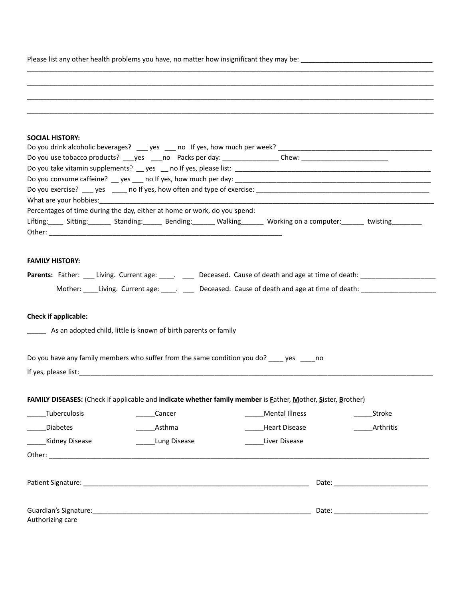Please list any other health problems you have, no matter how insignificant they may be: \_\_\_\_\_\_\_\_\_\_\_\_\_\_\_\_\_\_\_\_\_\_\_\_\_\_\_\_\_\_\_\_\_\_\_

| <b>SOCIAL HISTORY:</b>                                                                                                                                                                                                         |                   |                      |                                                                                                                      |
|--------------------------------------------------------------------------------------------------------------------------------------------------------------------------------------------------------------------------------|-------------------|----------------------|----------------------------------------------------------------------------------------------------------------------|
| Do you drink alcoholic beverages? _____ yes _____ no If yes, how much per week?                                                                                                                                                |                   |                      |                                                                                                                      |
| Do you use tobacco products? ____ yes _____ no Packs per day: _________________Chew: _________________________                                                                                                                 |                   |                      |                                                                                                                      |
|                                                                                                                                                                                                                                |                   |                      |                                                                                                                      |
| Do you consume caffeine? __ yes ___ no If yes, how much per day: ___________________________________                                                                                                                           |                   |                      |                                                                                                                      |
|                                                                                                                                                                                                                                |                   |                      |                                                                                                                      |
| What are your hobbies: What are your hobbies:                                                                                                                                                                                  |                   |                      |                                                                                                                      |
| Percentages of time during the day, either at home or work, do you spend:                                                                                                                                                      |                   |                      |                                                                                                                      |
| Lifting: _____ Sitting: _______ Standing: ______ Bending: _______ Walking _______ Working on a computer: ______ twisting ________                                                                                              |                   |                      |                                                                                                                      |
|                                                                                                                                                                                                                                |                   |                      |                                                                                                                      |
| <b>FAMILY HISTORY:</b>                                                                                                                                                                                                         |                   |                      |                                                                                                                      |
| Parents: Father: ___ Living. Current age: ____. ____ Deceased. Cause of death and age at time of death: _______________________________                                                                                        |                   |                      |                                                                                                                      |
|                                                                                                                                                                                                                                |                   |                      | Mother: _____Living. Current age: _____. _____ Deceased. Cause of death and age at time of death: __________________ |
| Check if applicable:                                                                                                                                                                                                           |                   |                      |                                                                                                                      |
| As an adopted child, little is known of birth parents or family                                                                                                                                                                |                   |                      |                                                                                                                      |
| Do you have any family members who suffer from the same condition you do? _____ yes _____ no                                                                                                                                   |                   |                      |                                                                                                                      |
| If yes, please list: The same state of the state of the state of the state of the state of the state of the state of the state of the state of the state of the state of the state of the state of the state of the state of t |                   |                      |                                                                                                                      |
|                                                                                                                                                                                                                                |                   |                      |                                                                                                                      |
| FAMILY DISEASES: (Check if applicable and indicate whether family member is Father, Mother, Sister, Brother)                                                                                                                   |                   |                      |                                                                                                                      |
| _Tuberculosis                                                                                                                                                                                                                  | Cancer            | Mental Illness       | Stroke                                                                                                               |
| <b>Diabetes</b>                                                                                                                                                                                                                | Asthma            | <b>Heart Disease</b> | Arthritis                                                                                                            |
| Kidney Disease                                                                                                                                                                                                                 | _____Lung Disease | Liver Disease        |                                                                                                                      |
|                                                                                                                                                                                                                                |                   |                      |                                                                                                                      |
|                                                                                                                                                                                                                                |                   |                      |                                                                                                                      |
|                                                                                                                                                                                                                                |                   |                      |                                                                                                                      |
| Guardian's Signature:                                                                                                                                                                                                          |                   |                      |                                                                                                                      |

\_\_\_\_\_\_\_\_\_\_\_\_\_\_\_\_\_\_\_\_\_\_\_\_\_\_\_\_\_\_\_\_\_\_\_\_\_\_\_\_\_\_\_\_\_\_\_\_\_\_\_\_\_\_\_\_\_\_\_\_\_\_\_\_\_\_\_\_\_\_\_\_\_\_\_\_\_\_\_\_\_\_\_\_\_\_\_\_\_\_\_\_\_\_\_\_\_\_\_\_\_\_\_\_\_\_\_\_  $\mathcal{L}_\mathcal{L} = \{ \mathcal{L}_\mathcal{L} = \{ \mathcal{L}_\mathcal{L} = \{ \mathcal{L}_\mathcal{L} = \{ \mathcal{L}_\mathcal{L} = \{ \mathcal{L}_\mathcal{L} = \{ \mathcal{L}_\mathcal{L} = \{ \mathcal{L}_\mathcal{L} = \{ \mathcal{L}_\mathcal{L} = \{ \mathcal{L}_\mathcal{L} = \{ \mathcal{L}_\mathcal{L} = \{ \mathcal{L}_\mathcal{L} = \{ \mathcal{L}_\mathcal{L} = \{ \mathcal{L}_\mathcal{L} = \{ \mathcal{L}_\mathcal{$ \_\_\_\_\_\_\_\_\_\_\_\_\_\_\_\_\_\_\_\_\_\_\_\_\_\_\_\_\_\_\_\_\_\_\_\_\_\_\_\_\_\_\_\_\_\_\_\_\_\_\_\_\_\_\_\_\_\_\_\_\_\_\_\_\_\_\_\_\_\_\_\_\_\_\_\_\_\_\_\_\_\_\_\_\_\_\_\_\_\_\_\_\_\_\_\_\_\_\_\_\_\_\_\_\_\_\_\_

\_\_\_\_\_\_\_\_\_\_\_\_\_\_\_\_\_\_\_\_\_\_\_\_\_\_\_\_\_\_\_\_\_\_\_\_\_\_\_\_\_\_\_\_\_\_\_\_\_\_\_\_\_\_\_\_\_\_\_\_\_\_\_\_\_\_\_\_\_\_\_\_\_\_\_\_\_\_\_\_\_\_\_\_\_\_\_\_\_\_\_\_\_\_\_\_\_\_\_\_\_\_\_\_\_\_\_\_

Authorizing care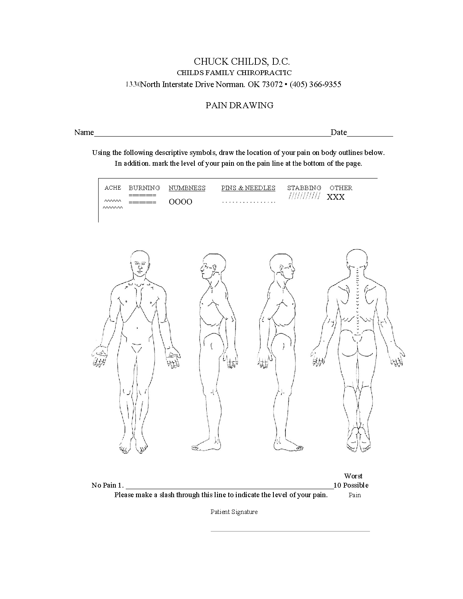### CHUCK CHILDS, D.C. CHILDS FAMILY CHIROPRACITC 1330North Interstate Drive Norman. OK 73072 · (405) 366-9355

#### PAIN DRAWING

Name Date

Using the following descriptive symbols, draw the location of your pain on body outlines below. In addition. mark the level of your pain on the pain line at the bottom of the page.



Patient Signature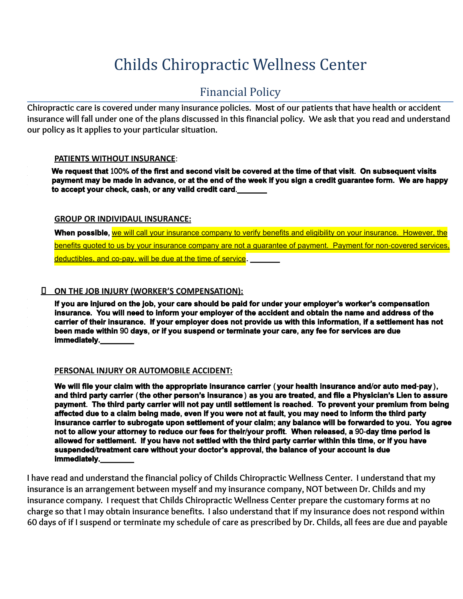# Childs Chiropractic Wellness Center

## Financial Policy

Chiropractic care is covered under many insurance policies. Most of our patients that have health or accident insurance will fall under one of the plans discussed in this financial policy. We ask that you read and understand **our policy as it applies to your particular situation.**

#### **PATIENTS WITHOUT INSURANCE**:

We request that 100% of the first and second visit be covered at the time of that visit. On subsequent visits payment may be made in advance, or at the end of the week if you sign a credit guarantee form. We are happy **to accept your check**, **cash**, **or any valid credit card**.**\_\_\_\_\_\_\_**

#### **GROUP OR INDIVIDAUL INSURANCE:**

**When possible**, we will call your insurance company to verify benefits and eligibility on your insurance. However, the benefits quoted to us by your insurance company are not a quarantee of payment. Payment for non-covered services, deductibles, and co-pay, will be due at the time of service. **\_\_\_\_\_\_\_**

#### **ON THE JOB INJURY (WORKER'S COMPENSATION):**

If you are injured on the job, your care should be paid for under your employer's worker's compensation insurance. You will need to inform your employer of the accident and obtain the name and address of the carrier of their insurance. If your employer does not provide us with this information, if a settlement has not **been made within** 90 **days**, **or if you suspend or terminate your care**, **any fee for services are due immediately**.**\_\_\_\_\_\_\_\_**

#### **PERSONAL INJURY OR AUTOMOBILE ACCIDENT:**

We will file your claim with the appropriate insurance carrier (your health insurance and/or auto med-pay), and third party carrier (the other person's insurance) as you are treated, and file a Physician's Lien to assure payment. The third party carrier will not pay until settlement is reached. To prevent your premium from being affected due to a claim being made, even if you were not at fault, you may need to inform the third party insurance carrier to subrogate upon settlement of your claim; any balance will be forwarded to you. You agree not to allow your attorney to reduce our fees for their/your profit. When released, a 90-day time period is allowed for settlement. If you have not settled with the third party carrier within this time, or if you have **suspended**/**treatment care without your doctor's approval**, **the balance of your account is due immediately**.**\_\_\_\_\_\_\_\_**

I have read and understand the financial policy of Childs Chiropractic Wellness Center. I understand that my **insurance is an arrangement between myself and my insurance company, NOT between Dr. Childs and my insurance company. I request that Childs Chiropractic Wellness Center prepare the customary forms at no** charge so that I may obtain insurance benefits. I also understand that if my insurance does not respond within 60 days of if I suspend or terminate my schedule of care as prescribed by Dr. Childs, all fees are due and payable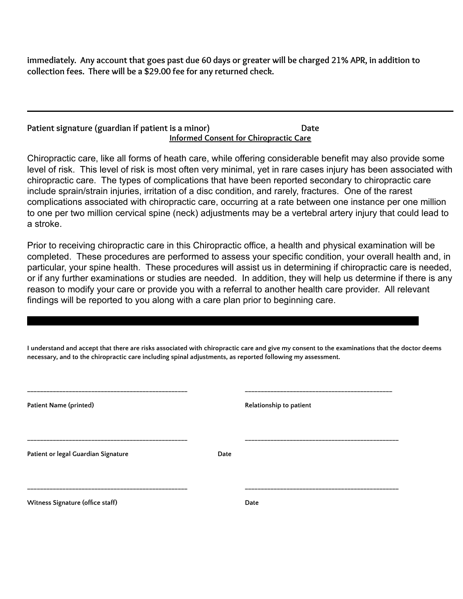immediately. Any account that goes past due 60 days or greater will be charged 21% APR, in addition to **collection fees. There will be a \$29.00 fee for any returned check.**

#### **Patient signature (guardian if patient is a minor) Date Informed Consent for Chiropractic Care**

Chiropractic care, like all forms of heath care, while offering considerable benefit may also provide some level of risk. This level of risk is most often very minimal, yet in rare cases injury has been associated with chiropractic care. The types of complications that have been reported secondary to chiropractic care include sprain/strain injuries, irritation of a disc condition, and rarely, fractures. One of the rarest complications associated with chiropractic care, occurring at a rate between one instance per one million to one per two million cervical spine (neck) adjustments may be a vertebral artery injury that could lead to a stroke.

Prior to receiving chiropractic care in this Chiropractic office, a health and physical examination will be completed. These procedures are performed to assess your specific condition, your overall health and, in particular, your spine health. These procedures will assist us in determining if chiropractic care is needed, or if any further examinations or studies are needed. In addition, they will help us determine if there is any reason to modify your care or provide you with a referral to another health care provider. All relevant findings will be reported to you along with a care plan prior to beginning care.

I understand and accept that there are risks associated with chiropractic care and give my consent to the examinations that the doctor deems **necessary, and to the chiropractic care including spinal adjustments, as reported following my assessment.**

**\_\_\_\_\_\_\_\_\_\_\_\_\_\_\_\_\_\_\_\_\_\_\_\_\_\_\_\_\_\_\_\_\_\_\_\_\_\_\_\_\_\_\_\_\_\_\_\_\_\_\_\_\_\_\_\_\_\_\_\_\_\_\_\_\_\_\_\_\_\_\_\_\_\_\_\_\_\_\_\_\_\_\_\_\_\_\_\_\_\_\_\_\_\_\_\_\_\_\_\_**

| <b>Patient Name (printed)</b>       |      | Relationship to patient |
|-------------------------------------|------|-------------------------|
| Patient or legal Guardian Signature | Date |                         |
| Witness Signature (office staff)    |      | Date                    |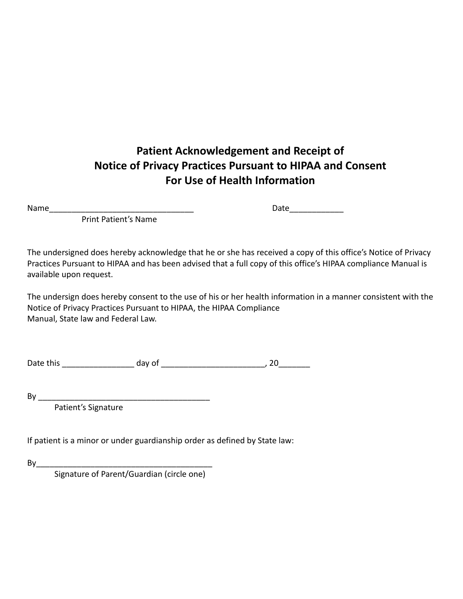# **Patient Acknowledgement and Receipt of Notice of Privacy Practices Pursuant to HIPAA and Consent For Use of Health Information**

Name\_\_\_\_\_\_\_\_\_\_\_\_\_\_\_\_\_\_\_\_\_\_\_\_\_\_\_\_\_\_\_\_ Date\_\_\_\_\_\_\_\_\_\_\_\_

Print Patient's Name

The undersigned does hereby acknowledge that he or she has received a copy of this office's Notice of Privacy Practices Pursuant to HIPAA and has been advised that a full copy of this office's HIPAA compliance Manual is available upon request.

The undersign does hereby consent to the use of his or her health information in a manner consistent with the Notice of Privacy Practices Pursuant to HIPAA, the HIPAA Compliance Manual, State law and Federal Law.

Date this day of this day of the state of the state of the state of the state of the state of the state of the state of the state of the state of the state of the state of the state of the state of the state of the state o

By \_\_\_\_\_\_\_\_\_\_\_\_\_\_\_\_\_\_\_\_\_\_\_\_\_\_\_\_\_\_\_\_\_\_\_\_\_\_

Patient's Signature

If patient is a minor or under guardianship order as defined by State law:

By\_\_\_\_\_\_\_\_\_\_\_\_\_\_\_\_\_\_\_\_\_\_\_\_\_\_\_\_\_\_\_\_\_\_\_\_\_\_\_

Signature of Parent/Guardian (circle one)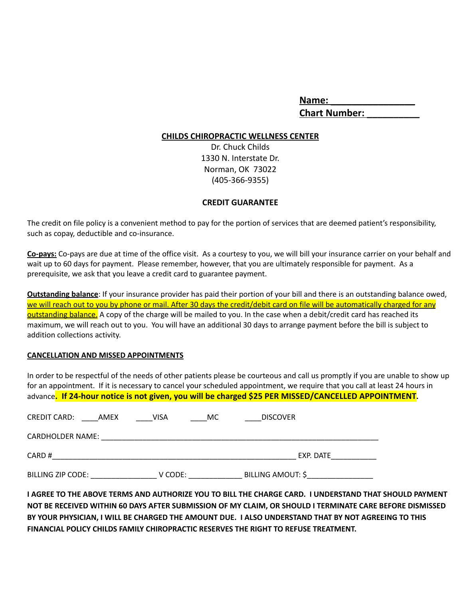| Name:                |  |
|----------------------|--|
| <b>Chart Number:</b> |  |

#### **CHILDS CHIROPRACTIC WELLNESS CENTER**

Dr. Chuck Childs 1330 N. Interstate Dr. Norman, OK 73022 (405-366-9355)

#### **CREDIT GUARANTEE**

The credit on file policy is a convenient method to pay for the portion of services that are deemed patient's responsibility, such as copay, deductible and co-insurance.

**Co-pays:** Co-pays are due at time of the office visit. As a courtesy to you, we will bill your insurance carrier on your behalf and wait up to 60 days for payment. Please remember, however, that you are ultimately responsible for payment. As a prerequisite, we ask that you leave a credit card to guarantee payment.

**Outstanding balance**: If your insurance provider has paid their portion of your bill and there is an outstanding balance owed, we will reach out to you by phone or mail. After 30 days the credit/debit card on file will be automatically charged for any outstanding balance. A copy of the charge will be mailed to you. In the case when a debit/credit card has reached its maximum, we will reach out to you. You will have an additional 30 days to arrange payment before the bill is subject to addition collections activity.

#### **CANCELLATION AND MISSED APPOINTMENTS**

In order to be respectful of the needs of other patients please be courteous and call us promptly if you are unable to show up for an appointment. If it is necessary to cancel your scheduled appointment, we require that you call at least 24 hours in advance**. If 24-hour notice is not given, you will be charged \$25 PER MISSED/CANCELLED APPOINTMENT.**

| <b>CREDIT CARD:</b><br>AMEX | VISA    | МC | <b>DISCOVER</b>   |  |
|-----------------------------|---------|----|-------------------|--|
| <b>CARDHOLDER NAME:</b>     |         |    |                   |  |
| CARD #                      |         |    | EXP. DATE         |  |
| BILLING ZIP CODE:           | V CODE: |    | BILLING AMOUT: \$ |  |

I AGREE TO THE ABOVE TERMS AND AUTHORIZE YOU TO BILL THE CHARGE CARD. I UNDERSTAND THAT SHOULD PAYMENT NOT BE RECEIVED WITHIN 60 DAYS AFTER SUBMISSION OF MY CLAIM, OR SHOULD I TERMINATE CARE BEFORE DISMISSED BY YOUR PHYSICIAN. I WILL BE CHARGED THE AMOUNT DUE. I ALSO UNDERSTAND THAT BY NOT AGREEING TO THIS **FINANCIAL POLICY CHILDS FAMILY CHIROPRACTIC RESERVES THE RIGHT TO REFUSE TREATMENT.**